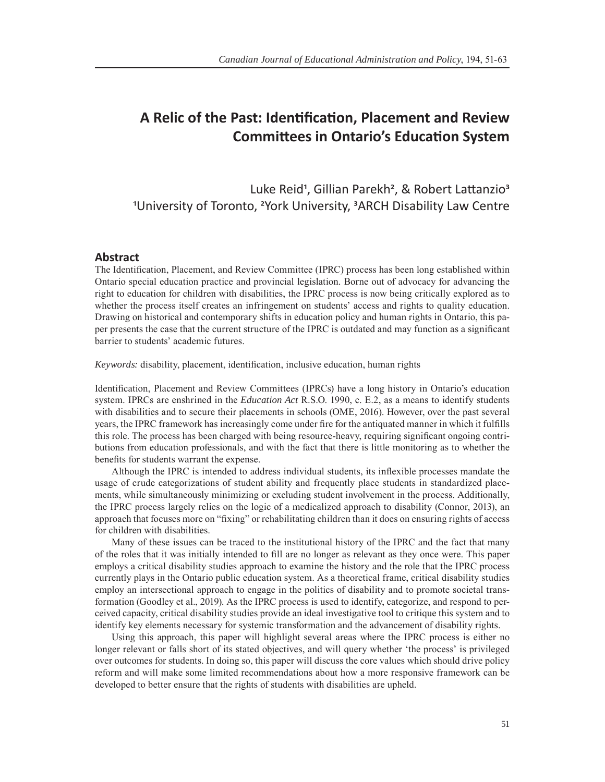# **A Relic of the Past: Identification, Placement and Review Committees in Ontario's Education System**

Luke Reid<sup>1</sup>, Gillian Parekh<sup>2</sup>, & Robert Lattanzio<sup>3</sup> <sup>1</sup>University of Toronto, <sup>2</sup>York University, <sup>3</sup>ARCH Disability Law Centre

## **Abstract**

The Identification, Placement, and Review Committee (IPRC) process has been long established within Ontario special education practice and provincial legislation. Borne out of advocacy for advancing the right to education for children with disabilities, the IPRC process is now being critically explored as to whether the process itself creates an infringement on students' access and rights to quality education. Drawing on historical and contemporary shifts in education policy and human rights in Ontario, this paper presents the case that the current structure of the IPRC is outdated and may function as a significant barrier to students' academic futures.

*Keywords:* disability, placement, identification, inclusive education, human rights

Identification, Placement and Review Committees (IPRCs) have a long history in Ontario's education system. IPRCs are enshrined in the *Education Act* R.S.O. 1990, c. E.2, as a means to identify students with disabilities and to secure their placements in schools (OME, 2016). However, over the past several years, the IPRC framework has increasingly come under fire for the antiquated manner in which it fulfills this role. The process has been charged with being resource-heavy, requiring significant ongoing contributions from education professionals, and with the fact that there is little monitoring as to whether the benefits for students warrant the expense.

Although the IPRC is intended to address individual students, its inflexible processes mandate the usage of crude categorizations of student ability and frequently place students in standardized placements, while simultaneously minimizing or excluding student involvement in the process. Additionally, the IPRC process largely relies on the logic of a medicalized approach to disability (Connor, 2013), an approach that focuses more on "fixing" or rehabilitating children than it does on ensuring rights of access for children with disabilities.

Many of these issues can be traced to the institutional history of the IPRC and the fact that many of the roles that it was initially intended to fill are no longer as relevant as they once were. This paper employs a critical disability studies approach to examine the history and the role that the IPRC process currently plays in the Ontario public education system. As a theoretical frame, critical disability studies employ an intersectional approach to engage in the politics of disability and to promote societal transformation (Goodley et al., 2019). As the IPRC process is used to identify, categorize, and respond to perceived capacity, critical disability studies provide an ideal investigative tool to critique this system and to identify key elements necessary for systemic transformation and the advancement of disability rights.

Using this approach, this paper will highlight several areas where the IPRC process is either no longer relevant or falls short of its stated objectives, and will query whether 'the process' is privileged over outcomes for students. In doing so, this paper will discuss the core values which should drive policy reform and will make some limited recommendations about how a more responsive framework can be developed to better ensure that the rights of students with disabilities are upheld.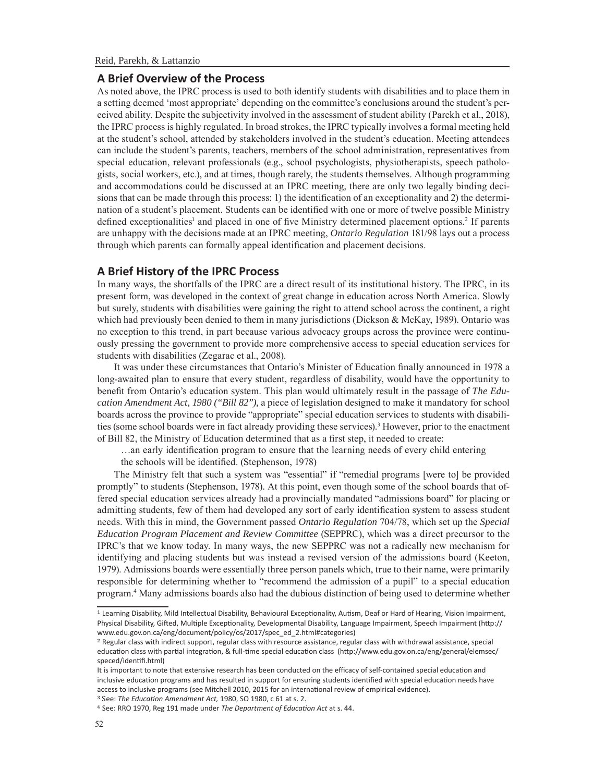### **A Brief Overview of the Process**

As noted above, the IPRC process is used to both identify students with disabilities and to place them in a setting deemed 'most appropriate' depending on the committee's conclusions around the student's perceived ability. Despite the subjectivity involved in the assessment of student ability (Parekh et al., 2018), the IPRC process is highly regulated. In broad strokes, the IPRC typically involves a formal meeting held at the student's school, attended by stakeholders involved in the student's education. Meeting attendees can include the student's parents, teachers, members of the school administration, representatives from special education, relevant professionals (e.g., school psychologists, physiotherapists, speech pathologists, social workers, etc.), and at times, though rarely, the students themselves. Although programming and accommodations could be discussed at an IPRC meeting, there are only two legally binding decisions that can be made through this process: 1) the identification of an exceptionality and 2) the determination of a student's placement. Students can be identified with one or more of twelve possible Ministry defined exceptionalities<sup>1</sup> and placed in one of five Ministry determined placement options.<sup>2</sup> If parents are unhappy with the decisions made at an IPRC meeting, *Ontario Regulation* 181/98 lays out a process through which parents can formally appeal identification and placement decisions.

## **A Brief History of the IPRC Process**

In many ways, the shortfalls of the IPRC are a direct result of its institutional history. The IPRC, in its present form, was developed in the context of great change in education across North America. Slowly but surely, students with disabilities were gaining the right to attend school across the continent, a right which had previously been denied to them in many jurisdictions (Dickson & McKay, 1989). Ontario was no exception to this trend, in part because various advocacy groups across the province were continuously pressing the government to provide more comprehensive access to special education services for students with disabilities (Zegarac et al., 2008).

It was under these circumstances that Ontario's Minister of Education finally announced in 1978 a long-awaited plan to ensure that every student, regardless of disability, would have the opportunity to benefit from Ontario's education system. This plan would ultimately result in the passage of *The Education Amendment Act, 1980 ("Bill 82"),* a piece of legislation designed to make it mandatory for school boards across the province to provide "appropriate" special education services to students with disabilities (some school boards were in fact already providing these services).<sup>3</sup> However, prior to the enactment of Bill 82, the Ministry of Education determined that as a first step, it needed to create:

…an early identification program to ensure that the learning needs of every child entering the schools will be identified. (Stephenson, 1978)

The Ministry felt that such a system was "essential" if "remedial programs [were to] be provided promptly" to students (Stephenson, 1978). At this point, even though some of the school boards that offered special education services already had a provincially mandated "admissions board" for placing or admitting students, few of them had developed any sort of early identification system to assess student needs. With this in mind, the Government passed *Ontario Regulation* 704/78, which set up the *Special Education Program Placement and Review Committee* (SEPPRC), which was a direct precursor to the IPRC's that we know today. In many ways, the new SEPPRC was not a radically new mechanism for identifying and placing students but was instead a revised version of the admissions board (Keeton, 1979). Admissions boards were essentially three person panels which, true to their name, were primarily responsible for determining whether to "recommend the admission of a pupil" to a special education program.4 Many admissions boards also had the dubious distinction of being used to determine whether

<sup>1</sup> Learning Disability, Mild Intellectual Disability, Behavioural Exceptionality, Autism, Deaf or Hard of Hearing, Vision Impairment, Physical Disability, Gifted, Multiple Exceptionality, Developmental Disability, Language Impairment, Speech Impairment (http:// www.edu.gov.on.ca/eng/document/policy/os/2017/spec\_ed\_2.html#categories)

<sup>2</sup> Regular class with indirect support, regular class with resource assistance, regular class with withdrawal assistance, special education class with partial integration, & full-time special education class (http://www.edu.gov.on.ca/eng/general/elemsec/ speced/identifi.html)

It is important to note that extensive research has been conducted on the efficacy of self-contained special education and inclusive education programs and has resulted in support for ensuring students identified with special education needs have access to inclusive programs (see Mitchell 2010, 2015 for an international review of empirical evidence).

<sup>3</sup> See: *The Education Amendment Act,* 1980, SO 1980, c 61 at s. 2.

<sup>4</sup> See: RRO 1970, Reg 191 made under *The Department of Education Act* at s. 44.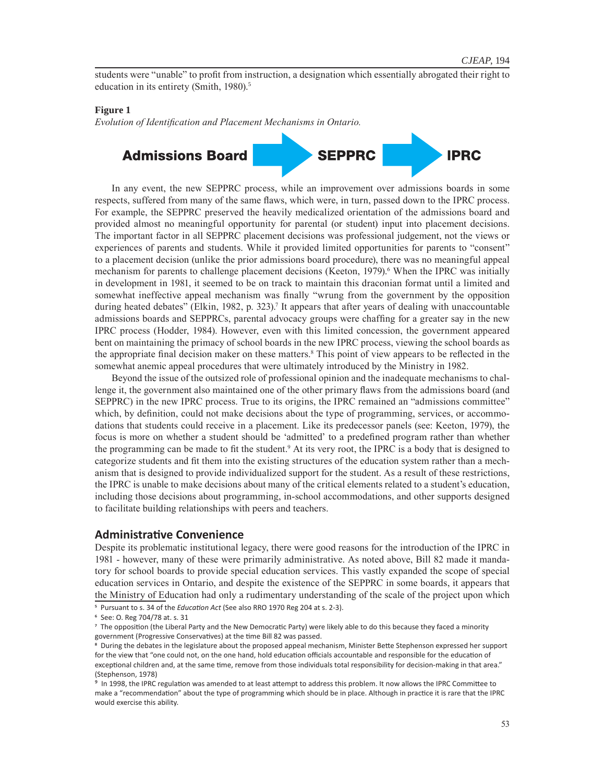students were "unable" to profit from instruction, a designation which essentially abrogated their right to education in its entirety (Smith, 1980).<sup>5</sup>

#### **Figure 1**

*Evolution of Identification and Placement Mechanisms in Ontario.*



In any event, the new SEPPRC process, while an improvement over admissions boards in some respects, suffered from many of the same flaws, which were, in turn, passed down to the IPRC process. For example, the SEPPRC preserved the heavily medicalized orientation of the admissions board and provided almost no meaningful opportunity for parental (or student) input into placement decisions. The important factor in all SEPPRC placement decisions was professional judgement, not the views or experiences of parents and students. While it provided limited opportunities for parents to "consent" to a placement decision (unlike the prior admissions board procedure), there was no meaningful appeal mechanism for parents to challenge placement decisions (Keeton, 1979).<sup>6</sup> When the IPRC was initially in development in 1981, it seemed to be on track to maintain this draconian format until a limited and somewhat ineffective appeal mechanism was finally "wrung from the government by the opposition during heated debates" (Elkin, 1982, p. 323).<sup>7</sup> It appears that after years of dealing with unaccountable admissions boards and SEPPRCs, parental advocacy groups were chaffing for a greater say in the new IPRC process (Hodder, 1984). However, even with this limited concession, the government appeared bent on maintaining the primacy of school boards in the new IPRC process, viewing the school boards as the appropriate final decision maker on these matters.<sup>8</sup> This point of view appears to be reflected in the somewhat anemic appeal procedures that were ultimately introduced by the Ministry in 1982.

Beyond the issue of the outsized role of professional opinion and the inadequate mechanisms to challenge it, the government also maintained one of the other primary flaws from the admissions board (and SEPPRC) in the new IPRC process. True to its origins, the IPRC remained an "admissions committee" which, by definition, could not make decisions about the type of programming, services, or accommodations that students could receive in a placement. Like its predecessor panels (see: Keeton, 1979), the focus is more on whether a student should be 'admitted' to a predefined program rather than whether the programming can be made to fit the student.<sup>9</sup> At its very root, the IPRC is a body that is designed to categorize students and fit them into the existing structures of the education system rather than a mechanism that is designed to provide individualized support for the student. As a result of these restrictions, the IPRC is unable to make decisions about many of the critical elements related to a student's education, including those decisions about programming, in-school accommodations, and other supports designed to facilitate building relationships with peers and teachers.

#### **Administrative Convenience**

Despite its problematic institutional legacy, there were good reasons for the introduction of the IPRC in 1981 - however, many of these were primarily administrative. As noted above, Bill 82 made it mandatory for school boards to provide special education services. This vastly expanded the scope of special education services in Ontario, and despite the existence of the SEPPRC in some boards, it appears that the Ministry of Education had only a rudimentary understanding of the scale of the project upon which

5 Pursuant to s. 34 of the *Education Act* (See also RRO 1970 Reg 204 at s. 2-3).

<sup>6</sup> See: O. Reg 704/78 at. s. 31

<sup>7</sup> The opposition (the Liberal Party and the New Democratic Party) were likely able to do this because they faced a minority government (Progressive Conservatives) at the time Bill 82 was passed.

<sup>&</sup>lt;sup>8</sup> During the debates in the legislature about the proposed appeal mechanism, Minister Bette Stephenson expressed her support for the view that "one could not, on the one hand, hold education officials accountable and responsible for the education of exceptional children and, at the same time, remove from those individuals total responsibility for decision-making in that area." (Stephenson, 1978)

⁹ In 1998, the IPRC regulation was amended to at least attempt to address this problem. It now allows the IPRC Committee to make a "recommendation" about the type of programming which should be in place. Although in practice it is rare that the IPRC would exercise this ability.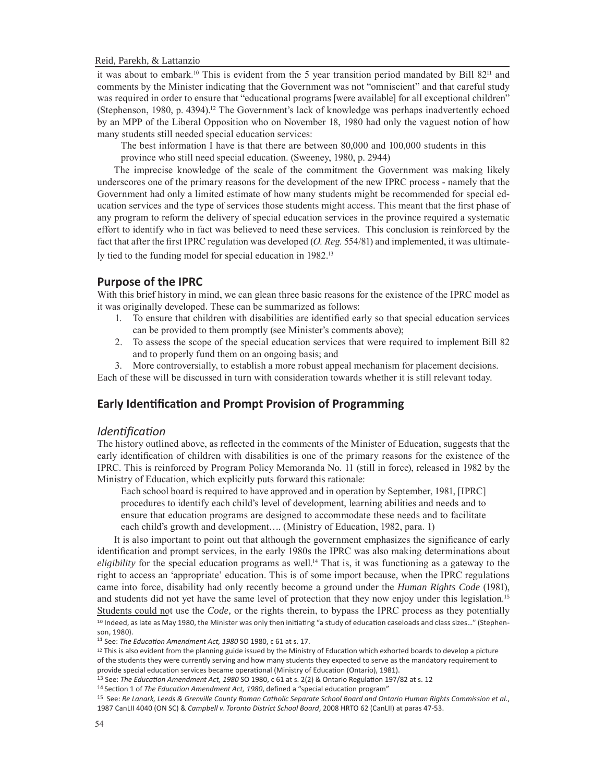it was about to embark.<sup>10</sup> This is evident from the 5 year transition period mandated by Bill 82<sup>11</sup> and comments by the Minister indicating that the Government was not "omniscient" and that careful study was required in order to ensure that "educational programs [were available] for all exceptional children" (Stephenson, 1980, p. 4394).12 The Government's lack of knowledge was perhaps inadvertently echoed by an MPP of the Liberal Opposition who on November 18, 1980 had only the vaguest notion of how many students still needed special education services:

The best information I have is that there are between 80,000 and 100,000 students in this province who still need special education. (Sweeney, 1980, p. 2944)

The imprecise knowledge of the scale of the commitment the Government was making likely underscores one of the primary reasons for the development of the new IPRC process - namely that the Government had only a limited estimate of how many students might be recommended for special education services and the type of services those students might access. This meant that the first phase of any program to reform the delivery of special education services in the province required a systematic effort to identify who in fact was believed to need these services. This conclusion is reinforced by the fact that after the first IPRC regulation was developed (*O. Reg.* 554/81) and implemented, it was ultimately tied to the funding model for special education in 1982.13

## **Purpose of the IPRC**

With this brief history in mind, we can glean three basic reasons for the existence of the IPRC model as it was originally developed. These can be summarized as follows:

- 1. To ensure that children with disabilities are identified early so that special education services can be provided to them promptly (see Minister's comments above);
- 2. To assess the scope of the special education services that were required to implement Bill 82 and to properly fund them on an ongoing basis; and
- 3. More controversially, to establish a more robust appeal mechanism for placement decisions.

Each of these will be discussed in turn with consideration towards whether it is still relevant today.

# **Early Identification and Prompt Provision of Programming**

#### *Identification*

The history outlined above, as reflected in the comments of the Minister of Education, suggests that the early identification of children with disabilities is one of the primary reasons for the existence of the IPRC. This is reinforced by Program Policy Memoranda No. 11 (still in force), released in 1982 by the Ministry of Education, which explicitly puts forward this rationale:

Each school board is required to have approved and in operation by September, 1981, [IPRC] procedures to identify each child's level of development, learning abilities and needs and to ensure that education programs are designed to accommodate these needs and to facilitate each child's growth and development…. (Ministry of Education, 1982, para. 1)

It is also important to point out that although the government emphasizes the significance of early identification and prompt services, in the early 1980s the IPRC was also making determinations about *eligibility* for the special education programs as well.<sup>14</sup> That is, it was functioning as a gateway to the right to access an 'appropriate' education. This is of some import because, when the IPRC regulations came into force, disability had only recently become a ground under the *Human Rights Code* (1981), and students did not yet have the same level of protection that they now enjoy under this legislation*.* 15 Students could not use the *Code,* or the rights therein, to bypass the IPRC process as they potentially 10 Indeed, as late as May 1980, the Minister was only then initiating "a study of education caseloads and class sizes..." (Stephenson, 1980).

<sup>&</sup>lt;sup>11</sup> See: *The Education Amendment Act, 1980* SO 1980, c 61 at s. 17.<br><sup>12</sup> This is also evident from the planning guide issued by the Ministry of Education which exhorted boards to develop a picture of the students they were currently serving and how many students they expected to serve as the mandatory requirement to provide special education services became operational (Ministry of Education (Ontario), 1981).

<sup>&</sup>lt;sup>13</sup> See: *The Education Amendment Act, 1980* SO 1980, c 61 at s. 2(2) & Ontario Regulation 197/82 at s. 12<br><sup>14</sup> Section 1 of *The Education Amendment Act, 1980*, defined a "special education program"

<sup>15</sup> See: *Re Lanark, Leeds & Grenville County Roman Catholic Separate School Board and Ontario Human Rights Commission et al*., 1987 CanLII 4040 (ON SC) & *Campbell v. Toronto District School Board*, 2008 HRTO 62 (CanLII) at paras 47-53.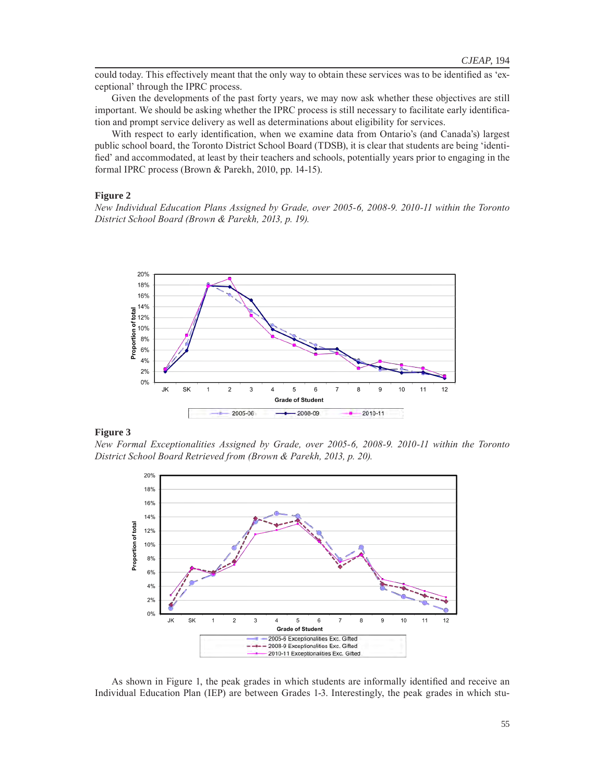could today. This effectively meant that the only way to obtain these services was to be identified as 'exceptional' through the IPRC process.

Given the developments of the past forty years, we may now ask whether these objectives are still important. We should be asking whether the IPRC process is still necessary to facilitate early identification and prompt service delivery as well as determinations about eligibility for services.

With respect to early identification, when we examine data from Ontario's (and Canada's) largest public school board, the Toronto District School Board (TDSB), it is clear that students are being 'identified' and accommodated, at least by their teachers and schools, potentially years prior to engaging in the formal IPRC process (Brown & Parekh, 2010, pp. 14-15).

#### **Figure 2**

*New Individual Education Plans Assigned by Grade, over 2005-6, 2008-9. 2010-11 within the Toronto District School Board (Brown & Parekh, 2013, p. 19).*



### **Figure 3**

*New Formal Exceptionalities Assigned by Grade, over 2005-6, 2008-9. 2010-11 within the Toronto District School Board Retrieved from (Brown & Parekh, 2013, p. 20).* 



As shown in Figure 1, the peak grades in which students are informally identified and receive an Individual Education Plan (IEP) are between Grades 1-3. Interestingly, the peak grades in which stu-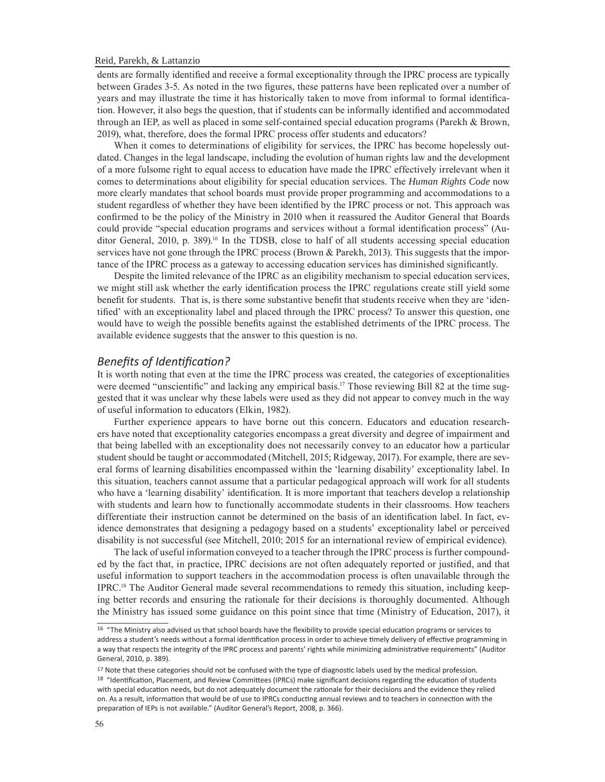#### Reid, Parekh, & Lattanzio

dents are formally identified and receive a formal exceptionality through the IPRC process are typically between Grades 3-5. As noted in the two figures, these patterns have been replicated over a number of years and may illustrate the time it has historically taken to move from informal to formal identification. However, it also begs the question, that if students can be informally identified and accommodated through an IEP, as well as placed in some self-contained special education programs (Parekh & Brown, 2019), what, therefore, does the formal IPRC process offer students and educators?

When it comes to determinations of eligibility for services, the IPRC has become hopelessly outdated. Changes in the legal landscape, including the evolution of human rights law and the development of a more fulsome right to equal access to education have made the IPRC effectively irrelevant when it comes to determinations about eligibility for special education services. The *Human Rights Code* now more clearly mandates that school boards must provide proper programming and accommodations to a student regardless of whether they have been identified by the IPRC process or not. This approach was confirmed to be the policy of the Ministry in 2010 when it reassured the Auditor General that Boards could provide "special education programs and services without a formal identification process" (Auditor General, 2010, p. 389).<sup>16</sup> In the TDSB, close to half of all students accessing special education services have not gone through the IPRC process (Brown & Parekh, 2013). This suggests that the importance of the IPRC process as a gateway to accessing education services has diminished significantly.

Despite the limited relevance of the IPRC as an eligibility mechanism to special education services, we might still ask whether the early identification process the IPRC regulations create still yield some benefit for students. That is, is there some substantive benefit that students receive when they are 'identified' with an exceptionality label and placed through the IPRC process? To answer this question, one would have to weigh the possible benefits against the established detriments of the IPRC process. The available evidence suggests that the answer to this question is no.

## *Benefits of Identification?*

It is worth noting that even at the time the IPRC process was created, the categories of exceptionalities were deemed "unscientific" and lacking any empirical basis.<sup>17</sup> Those reviewing Bill 82 at the time suggested that it was unclear why these labels were used as they did not appear to convey much in the way of useful information to educators (Elkin, 1982).

Further experience appears to have borne out this concern. Educators and education researchers have noted that exceptionality categories encompass a great diversity and degree of impairment and that being labelled with an exceptionality does not necessarily convey to an educator how a particular student should be taught or accommodated (Mitchell, 2015; Ridgeway, 2017). For example, there are several forms of learning disabilities encompassed within the 'learning disability' exceptionality label. In this situation, teachers cannot assume that a particular pedagogical approach will work for all students who have a 'learning disability' identification. It is more important that teachers develop a relationship with students and learn how to functionally accommodate students in their classrooms. How teachers differentiate their instruction cannot be determined on the basis of an identification label. In fact, evidence demonstrates that designing a pedagogy based on a students' exceptionality label or perceived disability is not successful (see Mitchell, 2010; 2015 for an international review of empirical evidence).

The lack of useful information conveyed to a teacher through the IPRC process is further compounded by the fact that, in practice, IPRC decisions are not often adequately reported or justified, and that useful information to support teachers in the accommodation process is often unavailable through the IPRC.18 The Auditor General made several recommendations to remedy this situation, including keeping better records and ensuring the rationale for their decisions is thoroughly documented. Although the Ministry has issued some guidance on this point since that time (Ministry of Education, 2017), it

<sup>&</sup>lt;sup>16</sup> "The Ministry also advised us that school boards have the flexibility to provide special education programs or services to address a student's needs without a formal identification process in order to achieve timely delivery of effective programming in a way that respects the integrity of the IPRC process and parents' rights while minimizing administrative requirements" (Auditor General, 2010, p. 389).

<sup>&</sup>lt;sup>17</sup> Note that these categories should not be confused with the type of diagnostic labels used by the medical profession.

<sup>18 &</sup>quot;Identification, Placement, and Review Committees (IPRCs) make significant decisions regarding the education of students with special education needs, but do not adequately document the rationale for their decisions and the evidence they relied on. As a result, information that would be of use to IPRCs conducting annual reviews and to teachers in connection with the preparation of IEPs is not available." (Auditor General's Report, 2008, p. 366).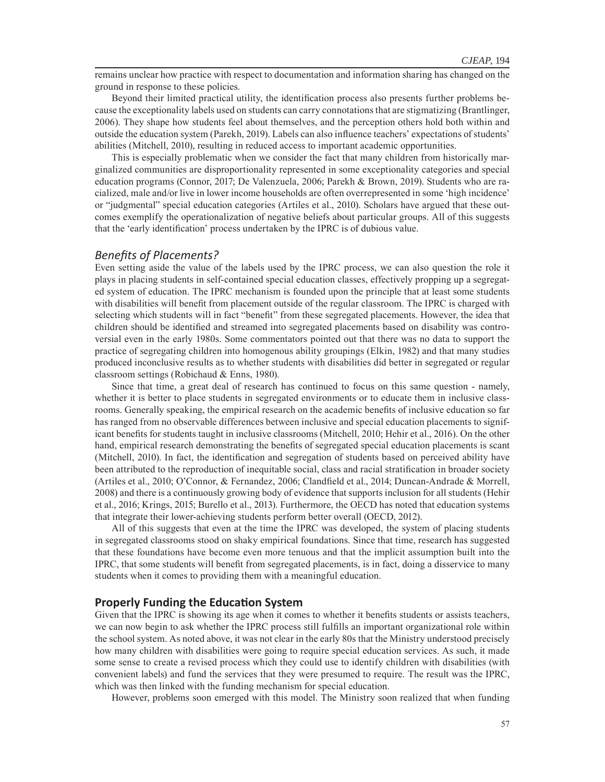remains unclear how practice with respect to documentation and information sharing has changed on the ground in response to these policies.

Beyond their limited practical utility, the identification process also presents further problems because the exceptionality labels used on students can carry connotations that are stigmatizing (Brantlinger, 2006). They shape how students feel about themselves, and the perception others hold both within and outside the education system (Parekh, 2019). Labels can also influence teachers' expectations of students' abilities (Mitchell, 2010), resulting in reduced access to important academic opportunities.

This is especially problematic when we consider the fact that many children from historically marginalized communities are disproportionality represented in some exceptionality categories and special education programs (Connor, 2017; De Valenzuela, 2006; Parekh & Brown, 2019). Students who are racialized, male and/or live in lower income households are often overrepresented in some 'high incidence' or "judgmental" special education categories (Artiles et al., 2010). Scholars have argued that these outcomes exemplify the operationalization of negative beliefs about particular groups. All of this suggests that the 'early identification' process undertaken by the IPRC is of dubious value.

## *Benefits of Placements?*

Even setting aside the value of the labels used by the IPRC process, we can also question the role it plays in placing students in self-contained special education classes, effectively propping up a segregated system of education. The IPRC mechanism is founded upon the principle that at least some students with disabilities will benefit from placement outside of the regular classroom. The IPRC is charged with selecting which students will in fact "benefit" from these segregated placements. However, the idea that children should be identified and streamed into segregated placements based on disability was controversial even in the early 1980s. Some commentators pointed out that there was no data to support the practice of segregating children into homogenous ability groupings (Elkin, 1982) and that many studies produced inconclusive results as to whether students with disabilities did better in segregated or regular classroom settings (Robichaud & Enns, 1980).

Since that time, a great deal of research has continued to focus on this same question - namely, whether it is better to place students in segregated environments or to educate them in inclusive classrooms. Generally speaking, the empirical research on the academic benefits of inclusive education so far has ranged from no observable differences between inclusive and special education placements to significant benefits for students taught in inclusive classrooms (Mitchell, 2010; Hehir et al., 2016). On the other hand, empirical research demonstrating the benefits of segregated special education placements is scant (Mitchell, 2010). In fact, the identification and segregation of students based on perceived ability have been attributed to the reproduction of inequitable social, class and racial stratification in broader society (Artiles et al., 2010; O'Connor, & Fernandez, 2006; Clandfield et al., 2014; Duncan-Andrade & Morrell, 2008) and there is a continuously growing body of evidence that supports inclusion for all students (Hehir et al., 2016; Krings, 2015; Burello et al., 2013). Furthermore, the OECD has noted that education systems that integrate their lower-achieving students perform better overall (OECD, 2012).

All of this suggests that even at the time the IPRC was developed, the system of placing students in segregated classrooms stood on shaky empirical foundations. Since that time, research has suggested that these foundations have become even more tenuous and that the implicit assumption built into the IPRC, that some students will benefit from segregated placements, is in fact, doing a disservice to many students when it comes to providing them with a meaningful education.

## **Properly Funding the Education System**

Given that the IPRC is showing its age when it comes to whether it benefits students or assists teachers, we can now begin to ask whether the IPRC process still fulfills an important organizational role within the school system. As noted above, it was not clear in the early 80s that the Ministry understood precisely how many children with disabilities were going to require special education services. As such, it made some sense to create a revised process which they could use to identify children with disabilities (with convenient labels) and fund the services that they were presumed to require. The result was the IPRC, which was then linked with the funding mechanism for special education.

However, problems soon emerged with this model. The Ministry soon realized that when funding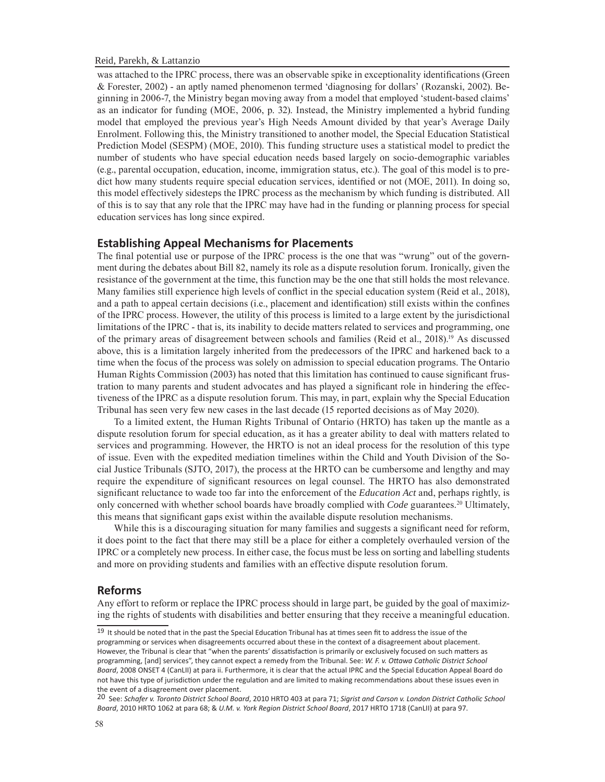was attached to the IPRC process, there was an observable spike in exceptionality identifications (Green & Forester, 2002) - an aptly named phenomenon termed 'diagnosing for dollars' (Rozanski, 2002). Beginning in 2006-7, the Ministry began moving away from a model that employed 'student-based claims' as an indicator for funding (MOE, 2006, p. 32). Instead, the Ministry implemented a hybrid funding model that employed the previous year's High Needs Amount divided by that year's Average Daily Enrolment. Following this, the Ministry transitioned to another model, the Special Education Statistical Prediction Model (SESPM) (MOE, 2010). This funding structure uses a statistical model to predict the number of students who have special education needs based largely on socio-demographic variables (e.g., parental occupation, education, income, immigration status, etc.). The goal of this model is to predict how many students require special education services, identified or not (MOE, 2011). In doing so, this model effectively sidesteps the IPRC process as the mechanism by which funding is distributed. All of this is to say that any role that the IPRC may have had in the funding or planning process for special education services has long since expired.

## **Establishing Appeal Mechanisms for Placements**

The final potential use or purpose of the IPRC process is the one that was "wrung" out of the government during the debates about Bill 82, namely its role as a dispute resolution forum. Ironically, given the resistance of the government at the time, this function may be the one that still holds the most relevance. Many families still experience high levels of conflict in the special education system (Reid et al., 2018), and a path to appeal certain decisions (i.e., placement and identification) still exists within the confines of the IPRC process. However, the utility of this process is limited to a large extent by the jurisdictional limitations of the IPRC - that is, its inability to decide matters related to services and programming, one of the primary areas of disagreement between schools and families (Reid et al., 2018).19 As discussed above, this is a limitation largely inherited from the predecessors of the IPRC and harkened back to a time when the focus of the process was solely on admission to special education programs. The Ontario Human Rights Commission (2003) has noted that this limitation has continued to cause significant frustration to many parents and student advocates and has played a significant role in hindering the effectiveness of the IPRC as a dispute resolution forum. This may, in part, explain why the Special Education Tribunal has seen very few new cases in the last decade (15 reported decisions as of May 2020).

To a limited extent, the Human Rights Tribunal of Ontario (HRTO) has taken up the mantle as a dispute resolution forum for special education, as it has a greater ability to deal with matters related to services and programming. However, the HRTO is not an ideal process for the resolution of this type of issue. Even with the expedited mediation timelines within the Child and Youth Division of the Social Justice Tribunals (SJTO, 2017), the process at the HRTO can be cumbersome and lengthy and may require the expenditure of significant resources on legal counsel. The HRTO has also demonstrated significant reluctance to wade too far into the enforcement of the *Education Act* and, perhaps rightly, is only concerned with whether school boards have broadly complied with *Code* guarantees.20 Ultimately, this means that significant gaps exist within the available dispute resolution mechanisms.

While this is a discouraging situation for many families and suggests a significant need for reform, it does point to the fact that there may still be a place for either a completely overhauled version of the IPRC or a completely new process. In either case, the focus must be less on sorting and labelling students and more on providing students and families with an effective dispute resolution forum.

#### **Reforms**

Any effort to reform or replace the IPRC process should in large part, be guided by the goal of maximizing the rights of students with disabilities and better ensuring that they receive a meaningful education.

 $19$  It should be noted that in the past the Special Education Tribunal has at times seen fit to address the issue of the programming or services when disagreements occurred about these in the context of a disagreement about placement. However, the Tribunal is clear that "when the parents' dissatisfaction is primarily or exclusively focused on such matters as programming, [and] services", they cannot expect a remedy from the Tribunal. See: *W. F. v. Ottawa Catholic District School Board*, 2008 ONSET 4 (CanLII) at para ii. Furthermore, it is clear that the actual IPRC and the Special Education Appeal Board do not have this type of jurisdiction under the regulation and are limited to making recommendations about these issues even in the event of a disagreement over placement.

<sup>20</sup> See: *Schafer v. Toronto District School Board*, 2010 HRTO 403 at para 71; *Sigrist and Carson v. London District Catholic School Board*, 2010 HRTO 1062 at para 68; & *U.M. v. York Region District School Board*, 2017 HRTO 1718 (CanLII) at para 97.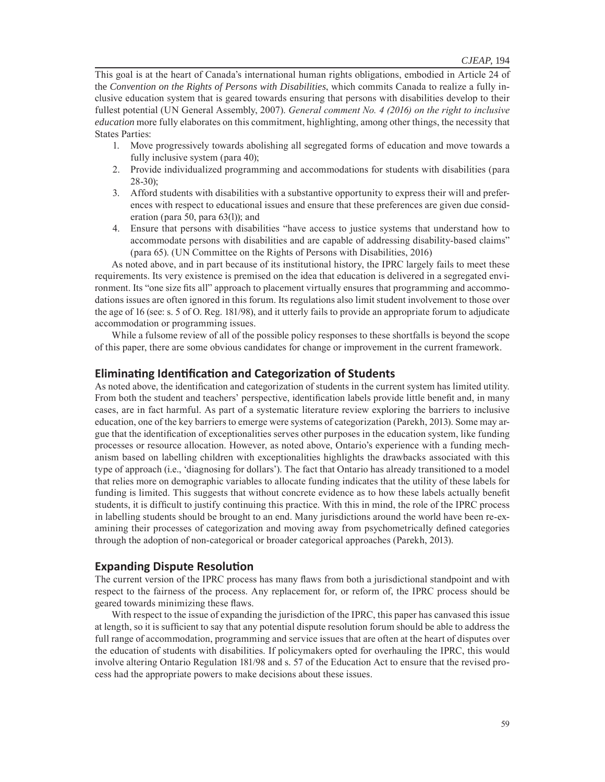This goal is at the heart of Canada's international human rights obligations, embodied in Article 24 of the *Convention on the Rights of Persons with Disabilities*, which commits Canada to realize a fully inclusive education system that is geared towards ensuring that persons with disabilities develop to their fullest potential (UN General Assembly, 2007). *General comment No. 4 (2016) on the right to inclusive education* more fully elaborates on this commitment, highlighting, among other things, the necessity that States Parties:

- 1. Move progressively towards abolishing all segregated forms of education and move towards a fully inclusive system (para 40);
- 2. Provide individualized programming and accommodations for students with disabilities (para 28-30);
- 3. Afford students with disabilities with a substantive opportunity to express their will and preferences with respect to educational issues and ensure that these preferences are given due consideration (para 50, para 63(l)); and
- 4. Ensure that persons with disabilities "have access to justice systems that understand how to accommodate persons with disabilities and are capable of addressing disability-based claims" (para 65). (UN Committee on the Rights of Persons with Disabilities, 2016)

As noted above, and in part because of its institutional history, the IPRC largely fails to meet these requirements. Its very existence is premised on the idea that education is delivered in a segregated environment. Its "one size fits all" approach to placement virtually ensures that programming and accommodations issues are often ignored in this forum. Its regulations also limit student involvement to those over the age of 16 (see: s. 5 of O. Reg. 181/98), and it utterly fails to provide an appropriate forum to adjudicate accommodation or programming issues.

While a fulsome review of all of the possible policy responses to these shortfalls is beyond the scope of this paper, there are some obvious candidates for change or improvement in the current framework.

## **Eliminating Identification and Categorization of Students**

As noted above, the identification and categorization of students in the current system has limited utility. From both the student and teachers' perspective, identification labels provide little benefit and, in many cases, are in fact harmful. As part of a systematic literature review exploring the barriers to inclusive education, one of the key barriers to emerge were systems of categorization (Parekh, 2013). Some may argue that the identification of exceptionalities serves other purposes in the education system, like funding processes or resource allocation. However, as noted above, Ontario's experience with a funding mechanism based on labelling children with exceptionalities highlights the drawbacks associated with this type of approach (i.e., 'diagnosing for dollars'). The fact that Ontario has already transitioned to a model that relies more on demographic variables to allocate funding indicates that the utility of these labels for funding is limited. This suggests that without concrete evidence as to how these labels actually benefit students, it is difficult to justify continuing this practice. With this in mind, the role of the IPRC process in labelling students should be brought to an end. Many jurisdictions around the world have been re-examining their processes of categorization and moving away from psychometrically defined categories through the adoption of non-categorical or broader categorical approaches (Parekh, 2013).

#### **Expanding Dispute Resolution**

The current version of the IPRC process has many flaws from both a jurisdictional standpoint and with respect to the fairness of the process. Any replacement for, or reform of, the IPRC process should be geared towards minimizing these flaws.

With respect to the issue of expanding the jurisdiction of the IPRC, this paper has canvased this issue at length, so it is sufficient to say that any potential dispute resolution forum should be able to address the full range of accommodation, programming and service issues that are often at the heart of disputes over the education of students with disabilities. If policymakers opted for overhauling the IPRC, this would involve altering Ontario Regulation 181/98 and s. 57 of the Education Act to ensure that the revised process had the appropriate powers to make decisions about these issues.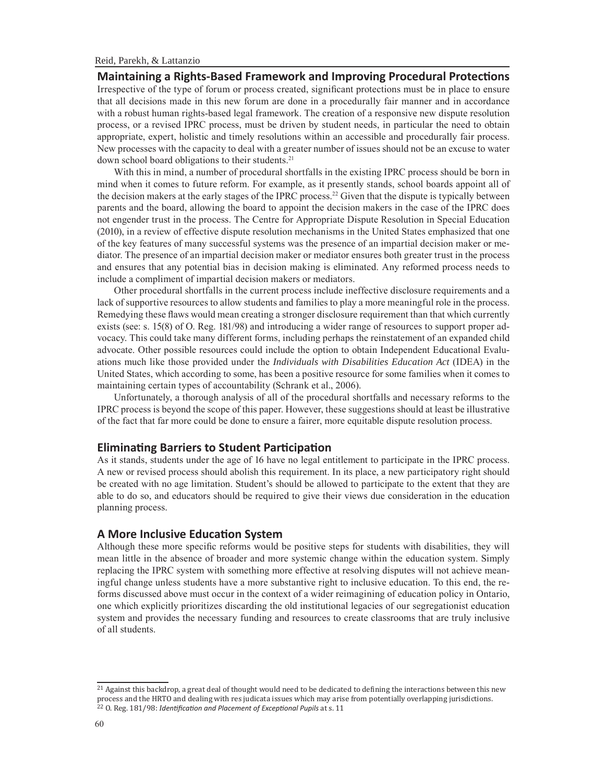**Maintaining a Rights-Based Framework and Improving Procedural Protections** Irrespective of the type of forum or process created, significant protections must be in place to ensure that all decisions made in this new forum are done in a procedurally fair manner and in accordance with a robust human rights-based legal framework. The creation of a responsive new dispute resolution process, or a revised IPRC process, must be driven by student needs, in particular the need to obtain appropriate, expert, holistic and timely resolutions within an accessible and procedurally fair process. New processes with the capacity to deal with a greater number of issues should not be an excuse to water down school board obligations to their students.<sup>21</sup>

With this in mind, a number of procedural shortfalls in the existing IPRC process should be born in mind when it comes to future reform. For example, as it presently stands, school boards appoint all of the decision makers at the early stages of the IPRC process.22 Given that the dispute is typically between parents and the board, allowing the board to appoint the decision makers in the case of the IPRC does not engender trust in the process. The Centre for Appropriate Dispute Resolution in Special Education (2010), in a review of effective dispute resolution mechanisms in the United States emphasized that one of the key features of many successful systems was the presence of an impartial decision maker or mediator. The presence of an impartial decision maker or mediator ensures both greater trust in the process and ensures that any potential bias in decision making is eliminated. Any reformed process needs to include a compliment of impartial decision makers or mediators.

Other procedural shortfalls in the current process include ineffective disclosure requirements and a lack of supportive resources to allow students and families to play a more meaningful role in the process. Remedying these flaws would mean creating a stronger disclosure requirement than that which currently exists (see: s. 15(8) of O. Reg. 181/98) and introducing a wider range of resources to support proper advocacy. This could take many different forms, including perhaps the reinstatement of an expanded child advocate. Other possible resources could include the option to obtain Independent Educational Evaluations much like those provided under the *Individuals with Disabilities Education Act* (IDEA) in the United States, which according to some, has been a positive resource for some families when it comes to maintaining certain types of accountability (Schrank et al., 2006).

Unfortunately, a thorough analysis of all of the procedural shortfalls and necessary reforms to the IPRC process is beyond the scope of this paper. However, these suggestions should at least be illustrative of the fact that far more could be done to ensure a fairer, more equitable dispute resolution process.

#### **Eliminating Barriers to Student Participation**

As it stands, students under the age of 16 have no legal entitlement to participate in the IPRC process. A new or revised process should abolish this requirement. In its place, a new participatory right should be created with no age limitation. Student's should be allowed to participate to the extent that they are able to do so, and educators should be required to give their views due consideration in the education planning process.

## **A More Inclusive Education System**

Although these more specific reforms would be positive steps for students with disabilities, they will mean little in the absence of broader and more systemic change within the education system. Simply replacing the IPRC system with something more effective at resolving disputes will not achieve meaningful change unless students have a more substantive right to inclusive education. To this end, the reforms discussed above must occur in the context of a wider reimagining of education policy in Ontario, one which explicitly prioritizes discarding the old institutional legacies of our segregationist education system and provides the necessary funding and resources to create classrooms that are truly inclusive of all students.

<sup>&</sup>lt;sup>21</sup> Against this backdrop, a great deal of thought would need to be dedicated to defining the interactions between this new process and the HRTO and dealing with res judicata issues which may arise from potentially overlapping jurisdictions.

<sup>22</sup> O. Reg. 181/98: *Identification and Placement of Exceptional Pupils* at s. 11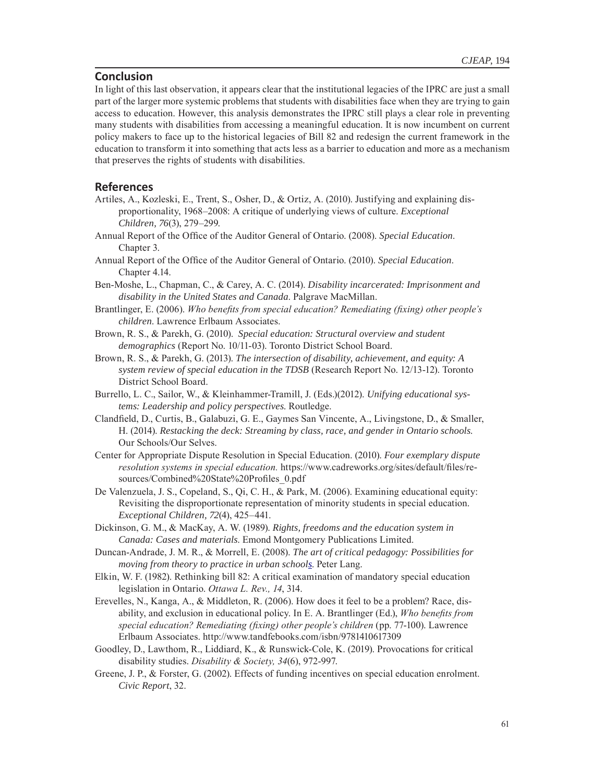## **Conclusion**

In light of this last observation, it appears clear that the institutional legacies of the IPRC are just a small part of the larger more systemic problems that students with disabilities face when they are trying to gain access to education. However, this analysis demonstrates the IPRC still plays a clear role in preventing many students with disabilities from accessing a meaningful education. It is now incumbent on current policy makers to face up to the historical legacies of Bill 82 and redesign the current framework in the education to transform it into something that acts less as a barrier to education and more as a mechanism that preserves the rights of students with disabilities.

#### **References**

- Artiles, A., Kozleski, E., Trent, S., Osher, D., & Ortiz, A. (2010). Justifying and explaining disproportionality, 1968–2008: A critique of underlying views of culture. *Exceptional Children, 76*(3), 279–299.
- Annual Report of the Office of the Auditor General of Ontario. (2008). *Special Education*. Chapter 3.
- Annual Report of the Office of the Auditor General of Ontario. (2010). *Special Education*. Chapter 4.14.

Ben-Moshe, L., Chapman, C., & Carey, A. C. (2014). *Disability incarcerated: Imprisonment and disability in the United States and Canada*. Palgrave MacMillan.

- Brantlinger, E. (2006). *Who benefits from special education? Remediating (fixing) other people's children*. Lawrence Erlbaum Associates.
- Brown, R. S., & Parekh, G. (2010). *Special education: Structural overview and student demographics* (Report No. 10/11-03). Toronto District School Board.
- Brown, R. S., & Parekh, G. (2013). *The intersection of disability, achievement, and equity: A system review of special education in the TDSB* (Research Report No. 12/13-12). Toronto District School Board.
- Burrello, L. C., Sailor, W., & Kleinhammer-Tramill, J. (Eds.)(2012). *Unifying educational systems: Leadership and policy perspectives*. Routledge.
- Clandfield, D., Curtis, B., Galabuzi, G. E., Gaymes San Vincente, A., Livingstone, D., & Smaller, H. (2014). *Restacking the deck: Streaming by class, race, and gender in Ontario schools*. Our Schools/Our Selves.
- Center for Appropriate Dispute Resolution in Special Education. (2010). *Four exemplary dispute resolution systems in special education.* https://www.cadreworks.org/sites/default/files/resources/Combined%20State%20Profiles\_0.pdf
- De Valenzuela, J. S., Copeland, S., Qi, C. H., & Park, M. (2006). Examining educational equity: Revisiting the disproportionate representation of minority students in special education. *Exceptional Children, 72*(4), 425–441.
- Dickinson, G. M., & MacKay, A. W. (1989). *Rights, freedoms and the education system in Canada: Cases and materials*. Emond Montgomery Publications Limited.
- Duncan-Andrade, J. M. R., & Morrell, E. (2008). *The art of critical pedagogy: Possibilities for moving from theory to practice in urban schools*. Peter Lang.
- Elkin, W. F. (1982). Rethinking bill 82: A critical examination of mandatory special education legislation in Ontario. *Ottawa L. Rev., 14*, 314.
- Erevelles, N., Kanga, A., & Middleton, R. (2006). How does it feel to be a problem? Race, disability, and exclusion in educational policy. In E. A. Brantlinger (Ed.), *Who benefits from special education? Remediating (fixing) other people's children* (pp. 77-100). Lawrence Erlbaum Associates. http://www.tandfebooks.com/isbn/9781410617309
- Goodley, D., Lawthom, R., Liddiard, K., & Runswick-Cole, K. (2019). Provocations for critical disability studies. *Disability & Society, 34*(6), 972-997.
- Greene, J. P., & Forster, G. (2002). Effects of funding incentives on special education enrolment. *Civic Report*, 32.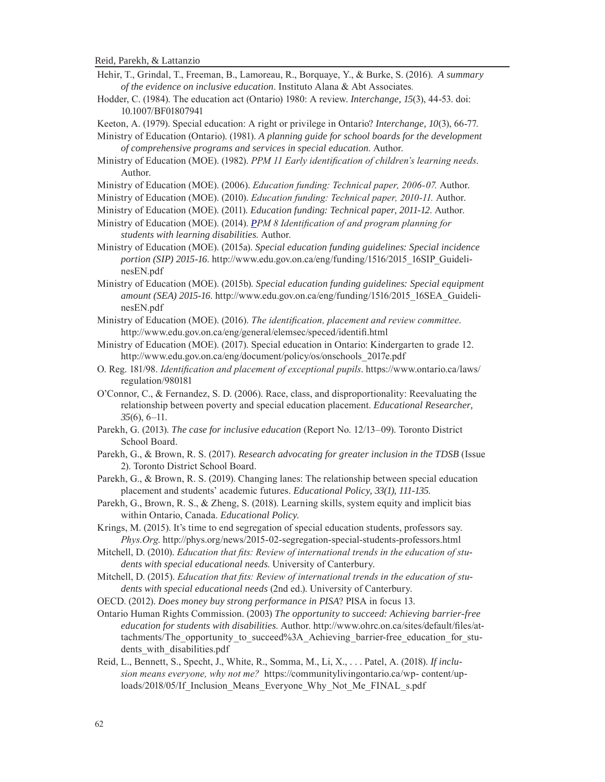- Hehir, T., Grindal, T., Freeman, B., Lamoreau, R., Borquaye, Y., & Burke, S. (2016). *A summary of the evidence on inclusive education*. Instituto Alana & Abt Associates*.*
- Hodder, C. (1984). The education act (Ontario) 1980: A review. *Interchange, 15*(3), 44-53. doi: 10.1007/BF01807941
- Keeton, A. (1979). Special education: A right or privilege in Ontario? *Interchange, 10*(3), 66-77.
- Ministry of Education (Ontario). (1981). *A planning guide for school boards for the development of comprehensive programs and services in special education*. Author.
- Ministry of Education (MOE). (1982). *PPM 11 Early identification of children's learning needs*. Author.
- Ministry of Education (MOE). (2006). *Education funding: Technical paper, 2006-07.* Author.
- Ministry of Education (MOE). (2010). *Education funding: Technical paper, 2010-11.* Author.
- Ministry of Education (MOE). (2011). *Education funding: Technical paper, 2011-12*. Author.
- Ministry of Education (MOE). (2014). *PPM 8 Identification of and program planning for students with learning disabilities*. Author.
- Ministry of Education (MOE). (2015a). *Special education funding guidelines: Special incidence portion (SIP) 2015-16*. http://www.edu.gov.on.ca/eng/funding/1516/2015\_16SIP\_GuidelinesEN.pdf
- Ministry of Education (MOE). (2015b). *Special education funding guidelines: Special equipment amount (SEA) 2015-16*. http://www.edu.gov.on.ca/eng/funding/1516/2015\_16SEA\_GuidelinesEN.pdf
- Ministry of Education (MOE). (2016). *The identification, placement and review committee*. http://www.edu.gov.on.ca/eng/general/elemsec/speced/identifi.html
- Ministry of Education (MOE). (2017). Special education in Ontario: Kindergarten to grade 12. http://www.edu.gov.on.ca/eng/document/policy/os/onschools\_2017e.pdf
- O. Reg. 181/98. *Identification and placement of exceptional pupils*. https://www.ontario.ca/laws/ regulation/980181
- O'Connor, C., & Fernandez, S. D. (2006). Race, class, and disproportionality: Reevaluating the relationship between poverty and special education placement. *Educational Researcher, 35*(6), 6–11.
- Parekh, G. (2013). *The case for inclusive education* (Report No. 12/13–09). Toronto District School Board.
- Parekh, G., & Brown, R. S. (2017). *Research advocating for greater inclusion in the TDSB* (Issue 2). Toronto District School Board.
- Parekh, G., & Brown, R. S. (2019). Changing lanes: The relationship between special education placement and students' academic futures. *Educational Policy, 33(1), 111-135*.
- Parekh, G., Brown, R. S., & Zheng, S. (2018). Learning skills, system equity and implicit bias within Ontario, Canada. *Educational Policy*.
- Krings, M. (2015). It's time to end segregation of special education students, professors say. *Phys.Org*. http://phys.org/news/2015-02-segregation-special-students-professors.html
- Mitchell, D. (2010). *Education that fits: Review of international trends in the education of students with special educational needs*. University of Canterbury.
- Mitchell, D. (2015). *Education that fits: Review of international trends in the education of students with special educational needs* (2nd ed.). University of Canterbury.
- OECD. (2012). *Does money buy strong performance in PISA*? PISA in focus 13.
- Ontario Human Rights Commission. (2003) *The opportunity to succeed: Achieving barrier-free education for students with disabilities*. Author. http://www.ohrc.on.ca/sites/default/files/attachments/The opportunity to succeed%3A Achieving barrier-free education for students with disabilities.pdf
- Reid, L., Bennett, S., Specht, J., White, R., Somma, M., Li, X., . . . Patel, A. (2018). *If inclusion means everyone, why not me?* https://communitylivingontario.ca/wp- content/uploads/2018/05/If Inclusion Means Everyone Why Not Me FINAL s.pdf